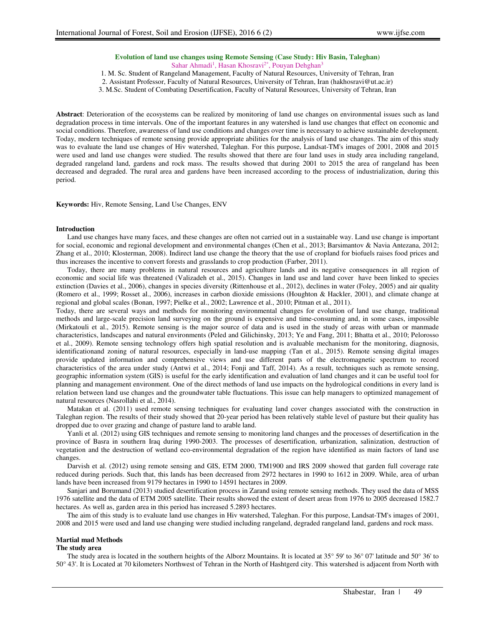## **Evolution of land use changes using Remote Sensing (Case Study: Hiv Basin, Taleghan)**  Sahar Ahmadi<sup>1</sup>, Hasan Khosravi<sup>2\*</sup>, Pouyan Dehghan<sup>3</sup>

1. M. Sc. Student of Rangeland Management, Faculty of Natural Resources, University of Tehran, Iran

2. Assistant Professor, Faculty of Natural Resources, University of Tehran, Iran (hakhosravi@ut.ac.ir)

3. M.Sc. Student of Combating Desertification, Faculty of Natural Resources, University of Tehran, Iran

**Abstract**: Deterioration of the ecosystems can be realized by monitoring of land use changes on environmental issues such as land degradation process in time intervals. One of the important features in any watershed is land use changes that effect on economic and social conditions. Therefore, awareness of land use conditions and changes over time is necessary to achieve sustainable development. Today, modern techniques of remote sensing provide appropriate abilities for the analysis of land use changes. The aim of this study was to evaluate the land use changes of Hiv watershed, Taleghan. For this purpose, Landsat-TM's images of 2001, 2008 and 2015 were used and land use changes were studied. The results showed that there are four land uses in study area including rangeland, degraded rangeland land, gardens and rock mass. The results showed that during 2001 to 2015 the area of rangeland has been decreased and degraded. The rural area and gardens have been increased according to the process of industrialization, during this period.

**Keywords:** Hiv, Remote Sensing, Land Use Changes, ENV

#### **Introduction**

Land use changes have many faces, and these changes are often not carried out in a sustainable way. Land use change is important for social, economic and regional development and environmental changes (Chen et al., 2013; Barsimantov & Navia Antezana, 2012; Zhang et al., 2010; Klosterman, 2008). Indirect land use change the theory that the use of cropland for biofuels raises food prices and thus increases the incentive to convert forests and grasslands to crop production (Farber, 2011).

Today, there are many problems in natural resources and agriculture lands and its negative consequences in all region of economic and social life was threatened (Valizadeh et al., 2015). Changes in land use and land cover have been linked to species extinction (Davies et al., 2006), changes in species diversity (Rittenhouse et al., 2012), declines in water (Foley, 2005) and air quality (Romero et al., 1999; Rosset al., 2006), increases in carbon dioxide emissions (Houghton & Hackler, 2001), and climate change at regional and global scales (Bonan, 1997; Pielke et al., 2002; Lawrence et al., 2010; Pitman et al., 2011).

Today, there are several ways and methods for monitoring environmental changes for evolution of land use change, traditional methods and large-scale precision land surveying on the ground is expensive and time-consuming and, in some cases, impossible (Mirkatouli et al., 2015). Remote sensing is the major source of data and is used in the study of areas with urban or manmade characteristics, landscapes and natural environments (Peled and Gilichinsky, 2013; Ye and Fang, 2011; Bhatta et al., 2010; Pelorosso et al., 2009). Remote sensing technology offers high spatial resolution and is avaluable mechanism for the monitoring, diagnosis, identificationand zoning of natural resources, especially in land-use mapping (Tan et al., 2015). Remote sensing digital images provide updated information and comprehensive views and use different parts of the electromagnetic spectrum to record characteristics of the area under study (Antwi et al., 2014; Fonji and Taff, 2014). As a result, techniques such as remote sensing, geographic information system (GIS) is useful for the early identification and evaluation of land changes and it can be useful tool for planning and management environment. One of the direct methods of land use impacts on the hydrological conditions in every land is relation between land use changes and the groundwater table fluctuations. This issue can help managers to optimized management of natural resources (Nasrollahi et al., 2014).

Matakan et al. (2011) used remote sensing techniques for evaluating land cover changes associated with the construction in Taleghan region. The results of their study showed that 20-year period has been relatively stable level of pasture but their quality has dropped due to over grazing and change of pasture land to arable land.

Yanli et al. (2012) using GIS techniques and remote sensing to monitoring land changes and the processes of desertification in the province of Basra in southern Iraq during 1990-2003. The processes of desertification, urbanization, salinization, destruction of vegetation and the destruction of wetland eco-environmental degradation of the region have identified as main factors of land use changes.

Darvish et al. (2012) using remote sensing and GIS, ETM 2000, TM1900 and IRS 2009 showed that garden full coverage rate reduced during periods. Such that, this lands has been decreased from 2972 hectares in 1990 to 1612 in 2009. While, area of urban lands have been increased from 9179 hectares in 1990 to 14591 hectares in 2009.

Sanjari and Borumand (2013) studied desertification process in Zarand using remote sensing methods. They used the data of MSS 1976 satellite and the data of ETM 2005 satellite. Their results showed the extent of desert areas from 1976 to 2005 decreased 1582.7 hectares. As well as, garden area in this period has increased 5.2893 hectares.

The aim of this study is to evaluate land use changes in Hiv watershed, Taleghan. For this purpose, Landsat-TM's images of 2001, 2008 and 2015 were used and land use changing were studied including rangeland, degraded rangeland land, gardens and rock mass.

### **Martial mad Methods**

#### **The study area**

The study area is located in the southern heights of the Alborz Mountains. It is located at 35° 59' to 36° 07' latitude and 50° 36' to 50° 43'. It is Located at 70 kilometers Northwest of Tehran in the North of Hashtgerd city. This watershed is adjacent from North with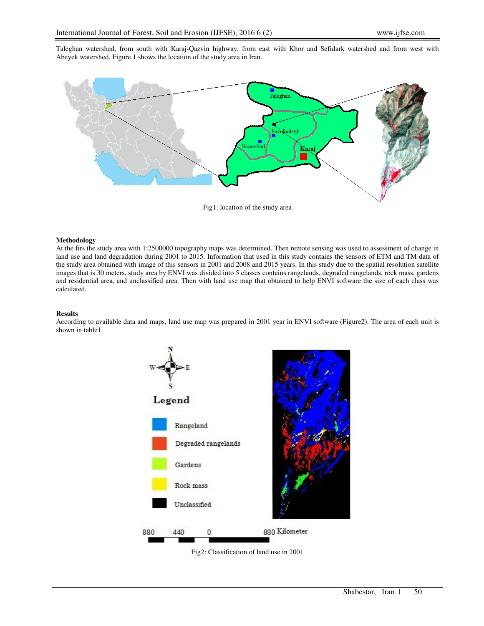Taleghan watershed, from south with Karaj-Qazvin highway, from east with Khor and Sefidark watershed and from west with Abeyek watershed. Figure 1 shows the location of the study area in Iran.



Fig1: location of the study area

## **Methodology**

At the firs the study area with 1:2500000 topography maps was determined. Then remote sensing was used to assessment of change in land use and land degradation during 2001 to 2015. Information that used in this study contains the sensors of ETM and TM data of the study area obtained with image of this sensors in 2001 and 2008 and 2015 years. In this study due to the spatial resolution satellite images that is 30 meters, study area by ENVI was divided into 5 classes contains rangelands, degraded rangelands, rock mass, gardens and residential area, and unclassified area. Then with land use map that obtained to help ENVI software the size of each class was calculated.

# **Results**

According to available data and maps, land use map was prepared in 2001 year in ENVI software (Figure2). The area of each unit is shown in table1.



Fig2: Classification of land use in 2001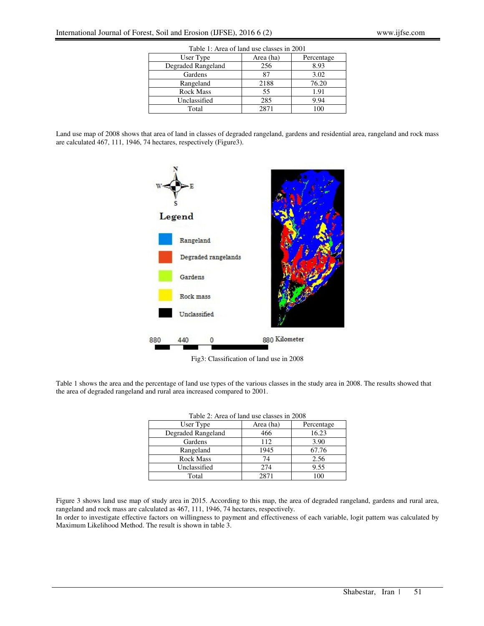| Table 1: Area of land use classes in 2001 |           |            |  |
|-------------------------------------------|-----------|------------|--|
| User Type                                 | Area (ha) | Percentage |  |
| Degraded Rangeland                        | 256       | 8.93       |  |
| Gardens                                   | 87        | 3.02       |  |
| Rangeland                                 | 2188      | 76.20      |  |
| <b>Rock Mass</b>                          | 55        | 1.91       |  |
| Unclassified                              | 285       | 9.94       |  |
| Total                                     | 2871      | 100        |  |

Land use map of 2008 shows that area of land in classes of degraded rangeland, gardens and residential area, rangeland and rock mass are calculated 467, 111, 1946, 74 hectares, respectively (Figure3).



Fig3: Classification of land use in 2008

Table 1 shows the area and the percentage of land use types of the various classes in the study area in 2008. The results showed that the area of degraded rangeland and rural area increased compared to 2001.

| Table 2. Area of faily use classes in 2006 |           |            |  |
|--------------------------------------------|-----------|------------|--|
| User Type                                  | Area (ha) | Percentage |  |
| Degraded Rangeland                         | 466       | 16.23      |  |
| Gardens                                    | 112       | 3.90       |  |
| Rangeland                                  | 1945      | 67.76      |  |
| <b>Rock Mass</b>                           | 74        | 2.56       |  |
| Unclassified                               | 274       | 9.55       |  |
| Total                                      | 2871      | 100        |  |

Figure 3 shows land use map of study area in 2015. According to this map, the area of degraded rangeland, gardens and rural area, rangeland and rock mass are calculated as 467, 111, 1946, 74 hectares, respectively.

In order to investigate effective factors on willingness to payment and effectiveness of each variable, logit pattern was calculated by Maximum Likelihood Method. The result is shown in table 3.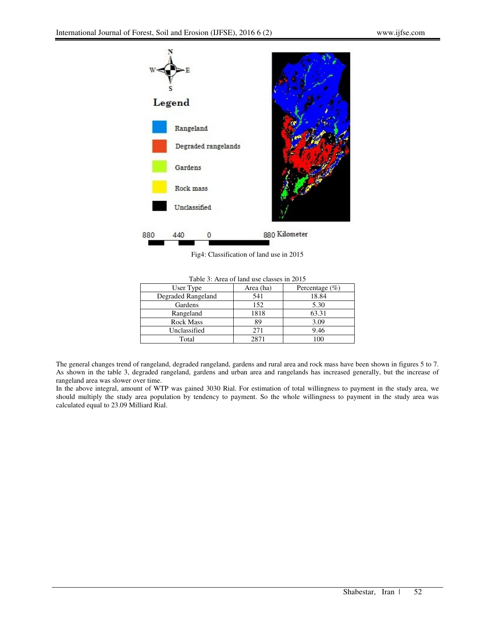

Fig4: Classification of land use in 2015

| User Type          | Area (ha) | Percentage $(\% )$ |
|--------------------|-----------|--------------------|
| Degraded Rangeland | 541       | 18.84              |
| Gardens            | 152       | 5.30               |
| Rangeland          | 1818      | 63.31              |
| <b>Rock Mass</b>   | 89        | 3.09               |
| Unclassified       | 271       | 9.46               |
| Total              | 2871      | <sup>0</sup>       |

Table 3: Area of land use classes in 2015

The general changes trend of rangeland, degraded rangeland, gardens and rural area and rock mass have been shown in figures 5 to 7. As shown in the table 3, degraded rangeland, gardens and urban area and rangelands has increased generally, but the increase of rangeland area was slower over time.

In the above integral, amount of WTP was gained 3030 Rial. For estimation of total willingness to payment in the study area, we should multiply the study area population by tendency to payment. So the whole willingness to payment in the study area was calculated equal to 23.09 Milliard Rial.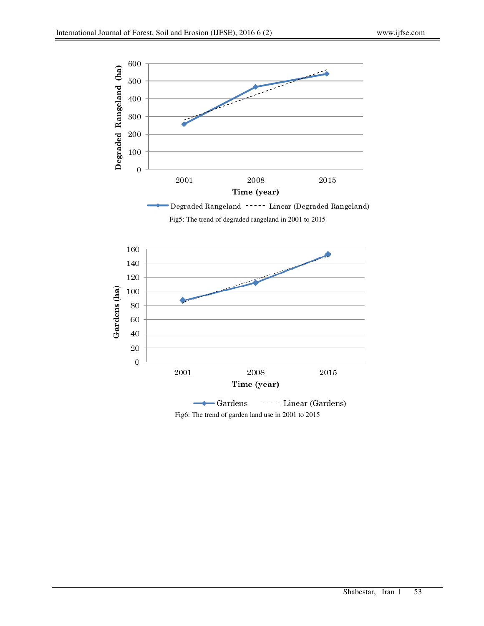

-Degraded Rangeland ----- Linear (Degraded Rangeland)

Fig5: The trend of degraded rangeland in 2001 to 2015



Fig6: The trend of garden land use in 2001 to 2015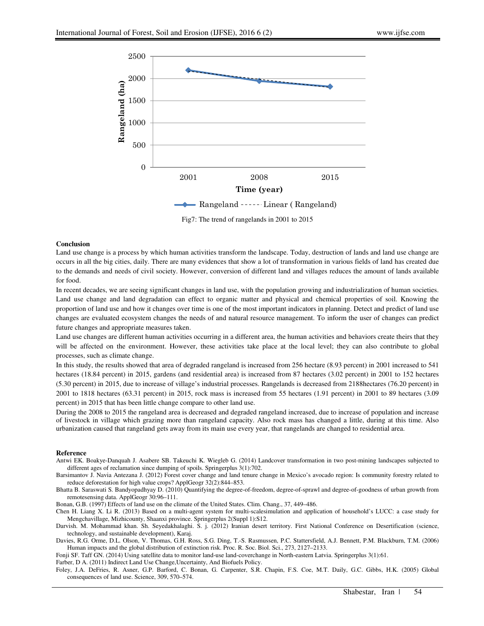

Fig7: The trend of rangelands in 2001 to 2015

## **Conclusion**

Land use change is a process by which human activities transform the landscape. Today, destruction of lands and land use change are occurs in all the big cities, daily. There are many evidences that show a lot of transformation in various fields of land has created due to the demands and needs of civil society. However, conversion of different land and villages reduces the amount of lands available for food.

In recent decades, we are seeing significant changes in land use, with the population growing and industrialization of human societies. Land use change and land degradation can effect to organic matter and physical and chemical properties of soil. Knowing the proportion of land use and how it changes over time is one of the most important indicators in planning. Detect and predict of land use changes are evaluated ecosystem changes the needs of and natural resource management. To inform the user of changes can predict future changes and appropriate measures taken.

Land use changes are different human activities occurring in a different area, the human activities and behaviors create theirs that they will be affected on the environment. However, these activities take place at the local level; they can also contribute to global processes, such as climate change.

In this study, the results showed that area of degraded rangeland is increased from 256 hectare (8.93 percent) in 2001 increased to 541 hectares (18.84 percent) in 2015, gardens (and residential area) is increased from 87 hectares (3.02 percent) in 2001 to 152 hectares (5.30 percent) in 2015, due to increase of village's industrial processes. Rangelands is decreased from 2188hectares (76.20 percent) in 2001 to 1818 hectares (63.31 percent) in 2015, rock mass is increased from 55 hectares (1.91 percent) in 2001 to 89 hectares (3.09 percent) in 2015 that has been little change compare to other land use.

During the 2008 to 2015 the rangeland area is decreased and degraded rangeland increased, due to increase of population and increase of livestock in village which grazing more than rangeland capacity. Also rock mass has changed a little, during at this time. Also urbanization caused that rangeland gets away from its main use every year, that rangelands are changed to residential area.

## **Reference**

Antwi EK. Boakye-Danquah J. Asabere SB. Takeuchi K. Wiegleb G. (2014) Landcover transformation in two post-mining landscapes subjected to different ages of reclamation since dumping of spoils. Springerplus 3(1):702.

Barsimantov J. Navia Antezana J. (2012) Forest cover change and land tenure change in Mexico's avocado region: Is community forestry related to reduce deforestation for high value crops? ApplGeogr 32(2):844–853.

Bhatta B. Saraswati S. Bandyopadhyay D. (2010) Quantifying the degree-of-freedom, degree-of-sprawl and degree-of-goodness of urban growth from remotesensing data. ApplGeogr 30:96–111.

Bonan, G.B. (1997) Effects of land use on the climate of the United States. Clim. Chang., 37, 449–486.

Chen H. Liang X. Li R. (2013) Based on a multi-agent system for multi-scalesimulation and application of household's LUCC: a case study for Mengchavillage, Mizhicounty, Shaanxi province. Springerplus 2(Suppl 1):S12.

Darvish. M. Mohammad khan. Sh. Seyedakhalaghi. S. j. (2012) Iranian desert territory. First National Conference on Desertification (science, technology, and sustainable development), Karaj.

Davies, R.G. Orme, D.L. Olson, V. Thomas, G.H. Ross, S.G. Ding, T.-S. Rasmussen, P.C. Stattersfield, A.J. Bennett, P.M. Blackburn, T.M. (2006) Human impacts and the global distribution of extinction risk. Proc. R. Soc. Biol. Sci., 273, 2127–2133.

Fonji SF. Taff GN. (2014) Using satellite data to monitor land-use land-coverchange in North-eastern Latvia. Springerplus 3(1):61.

Farber, D A. (2011) Indirect Land Use Change,Uncertainty, And Biofuels Policy.

Foley, J.A. DeFries, R. Asner, G.P. Barford, C. Bonan, G. Carpenter, S.R. Chapin, F.S. Coe, M.T. Daily, G.C. Gibbs, H.K. (2005) Global consequences of land use. Science, 309, 570–574.